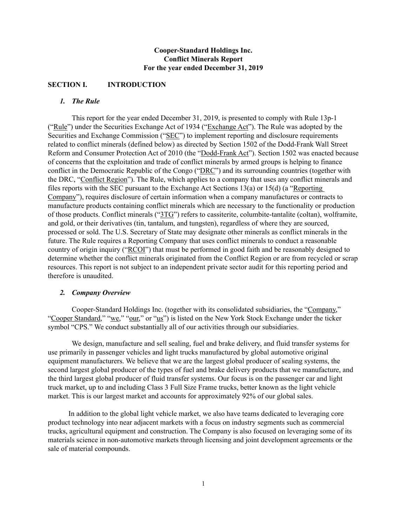# **Cooper-Standard Holdings Inc. Conflict Minerals Report For the year ended December 31, 2019**

# **SECTION I. INTRODUCTION**

# *1. The Rule*

This report for the year ended December 31, 2019, is presented to comply with Rule 13p-1 ("Rule") under the Securities Exchange Act of 1934 ("Exchange Act"). The Rule was adopted by the Securities and Exchange Commission ("SEC") to implement reporting and disclosure requirements related to conflict minerals (defined below) as directed by Section 1502 of the Dodd-Frank Wall Street Reform and Consumer Protection Act of 2010 (the "Dodd-Frank Act"). Section 1502 was enacted because of concerns that the exploitation and trade of conflict minerals by armed groups is helping to finance conflict in the Democratic Republic of the Congo ("DRC") and its surrounding countries (together with the DRC, "Conflict Region"). The Rule, which applies to a company that uses any conflict minerals and files reports with the SEC pursuant to the Exchange Act Sections 13(a) or 15(d) (a "Reporting Company"), requires disclosure of certain information when a company manufactures or contracts to manufacture products containing conflict minerals which are necessary to the functionality or production of those products. Conflict minerals ("3TG") refers to cassiterite, columbite-tantalite (coltan), wolframite, and gold, or their derivatives (tin, tantalum, and tungsten), regardless of where they are sourced, processed or sold. The U.S. Secretary of State may designate other minerals as conflict minerals in the future. The Rule requires a Reporting Company that uses conflict minerals to conduct a reasonable country of origin inquiry ("RCOI") that must be performed in good faith and be reasonably designed to determine whether the conflict minerals originated from the Conflict Region or are from recycled or scrap resources. This report is not subject to an independent private sector audit for this reporting period and therefore is unaudited.

### *2. Company Overview*

Cooper-Standard Holdings Inc. (together with its consolidated subsidiaries, the "Company," "Cooper Standard," "we," "our," or "us") is listed on the New York Stock Exchange under the ticker symbol "CPS." We conduct substantially all of our activities through our subsidiaries.

We design, manufacture and sell sealing, fuel and brake delivery, and fluid transfer systems for use primarily in passenger vehicles and light trucks manufactured by global automotive original equipment manufacturers. We believe that we are the largest global producer of sealing systems, the second largest global producer of the types of fuel and brake delivery products that we manufacture, and the third largest global producer of fluid transfer systems. Our focus is on the passenger car and light truck market, up to and including Class 3 Full Size Frame trucks, better known as the light vehicle market. This is our largest market and accounts for approximately 92% of our global sales.

In addition to the global light vehicle market, we also have teams dedicated to leveraging core product technology into near adjacent markets with a focus on industry segments such as commercial trucks, agricultural equipment and construction. The Company is also focused on leveraging some of its materials science in non-automotive markets through licensing and joint development agreements or the sale of material compounds.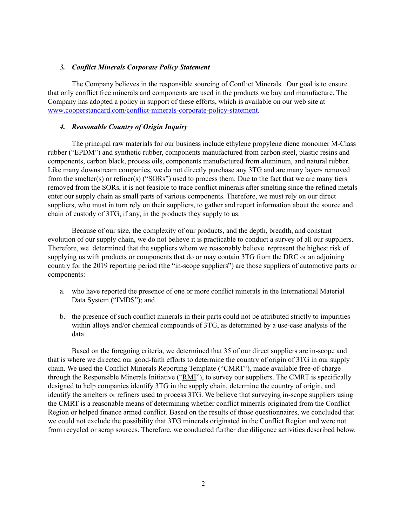#### *3. Conflict Minerals Corporate Policy Statement*

The Company believes in the responsible sourcing of Conflict Minerals. Our goal is to ensure that only conflict free minerals and components are used in the products we buy and manufacture. The Company has adopted a policy in support of these efforts, which is available on our web site at www.cooperstandard.com/conflict-minerals-corporate-policy-statement.

#### *4. Reasonable Country of Origin Inquiry*

The principal raw materials for our business include ethylene propylene diene monomer M-Class rubber ("EPDM") and synthetic rubber, components manufactured from carbon steel, plastic resins and components, carbon black, process oils, components manufactured from aluminum, and natural rubber. Like many downstream companies, we do not directly purchase any 3TG and are many layers removed from the smelter(s) or refiner(s) (" $SORS$ ") used to process them. Due to the fact that we are many tiers removed from the SORs, it is not feasible to trace conflict minerals after smelting since the refined metals enter our supply chain as small parts of various components. Therefore, we must rely on our direct suppliers, who must in turn rely on their suppliers, to gather and report information about the source and chain of custody of 3TG, if any, in the products they supply to us.

Because of our size, the complexity of our products, and the depth, breadth, and constant evolution of our supply chain, we do not believe it is practicable to conduct a survey of all our suppliers. Therefore, we determined that the suppliers whom we reasonably believe represent the highest risk of supplying us with products or components that do or may contain 3TG from the DRC or an adjoining country for the 2019 reporting period (the "in-scope suppliers") are those suppliers of automotive parts or components:

- a. who have reported the presence of one or more conflict minerals in the International Material Data System ("IMDS"); and
- b. the presence of such conflict minerals in their parts could not be attributed strictly to impurities within alloys and/or chemical compounds of 3TG, as determined by a use-case analysis of the data.

Based on the foregoing criteria, we determined that 35 of our direct suppliers are in-scope and that is where we directed our good-faith efforts to determine the country of origin of 3TG in our supply chain. We used the Conflict Minerals Reporting Template ("CMRT"), made available free-of-charge through the Responsible Minerals Initiative ("RMI"), to survey our suppliers. The CMRT is specifically designed to help companies identify 3TG in the supply chain, determine the country of origin, and identify the smelters or refiners used to process 3TG. We believe that surveying in-scope suppliers using the CMRT is a reasonable means of determining whether conflict minerals originated from the Conflict Region or helped finance armed conflict. Based on the results of those questionnaires, we concluded that we could not exclude the possibility that 3TG minerals originated in the Conflict Region and were not from recycled or scrap sources. Therefore, we conducted further due diligence activities described below.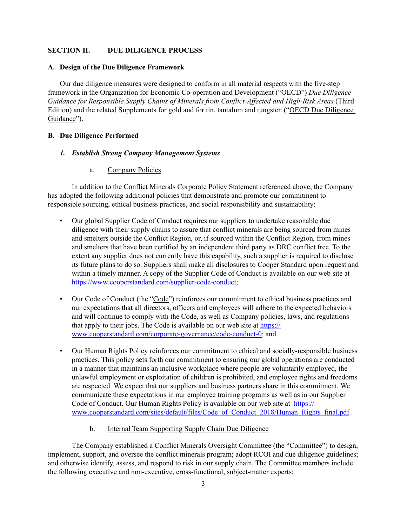## **SECTION II. DUE DILIGENCE PROCESS**

### **A. Design of the Due Diligence Framework**

Our due diligence measures were designed to conform in all material respects with the five-step framework in the Organization for Economic Co-operation and Development ("OECD") *Due Diligence Guidance for Responsible Supply Chains of Minerals from Conflict-Affected and High-Risk Areas* (Third Edition) and the related Supplements for gold and for tin, tantalum and tungsten ("OECD Due Diligence Guidance").

### **B. Due Diligence Performed**

## *1. Establish Strong Company Management Systems*

a. Company Policies

In addition to the Conflict Minerals Corporate Policy Statement referenced above, the Company has adopted the following additional policies that demonstrate and promote our commitment to responsible sourcing, ethical business practices, and social responsibility and sustainability:

- Our global Supplier Code of Conduct requires our suppliers to undertake reasonable due diligence with their supply chains to assure that conflict minerals are being sourced from mines and smelters outside the Conflict Region, or, if sourced within the Conflict Region, from mines and smelters that have been certified by an independent third party as DRC conflict free. To the extent any supplier does not currently have this capability, such a supplier is required to disclose its future plans to do so. Suppliers shall make all disclosures to Cooper Standard upon request and within a timely manner. A copy of the Supplier Code of Conduct is available on our web site at https://www.cooperstandard.com/supplier-code-conduct;
- Our Code of Conduct (the "Code") reinforces our commitment to ethical business practices and our expectations that all directors, officers and employees will adhere to the expected behaviors and will continue to comply with the Code, as well as Company policies, laws, and regulations that apply to their jobs. The Code is available on our web site at https:// www.cooperstandard.com/corporate-governance/code-conduct-0; and
- Our Human Rights Policy reinforces our commitment to ethical and socially-responsible business practices. This policy sets forth our commitment to ensuring our global operations are conducted in a manner that maintains an inclusive workplace where people are voluntarily employed, the unlawful employment or exploitation of children is prohibited, and employee rights and freedoms are respected. We expect that our suppliers and business partners share in this commitment. We communicate these expectations in our employee training programs as well as in our Supplier Code of Conduct. Our Human Rights Policy is available on our web site at https:// www.cooperstandard.com/sites/default/files/Code\_of\_Conduct\_2018/Human\_Rights\_final.pdf.
	- b. Internal Team Supporting Supply Chain Due Diligence

The Company established a Conflict Minerals Oversight Committee (the "Committee") to design, implement, support, and oversee the conflict minerals program; adopt RCOI and due diligence guidelines; and otherwise identify, assess, and respond to risk in our supply chain. The Committee members include the following executive and non-executive, cross-functional, subject-matter experts: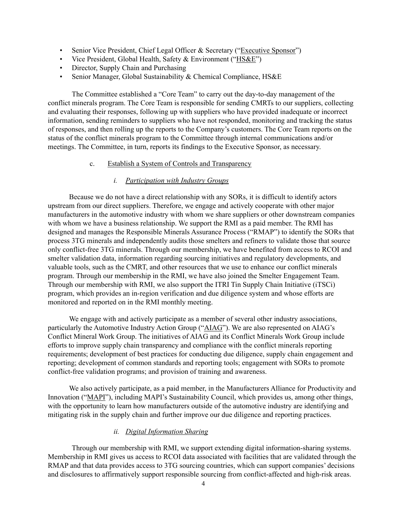- Senior Vice President, Chief Legal Officer & Secretary ("Executive Sponsor")
- Vice President, Global Health, Safety & Environment ("HS&E")
- Director, Supply Chain and Purchasing
- Senior Manager, Global Sustainability & Chemical Compliance, HS&E

The Committee established a "Core Team" to carry out the day-to-day management of the conflict minerals program. The Core Team is responsible for sending CMRTs to our suppliers, collecting and evaluating their responses, following up with suppliers who have provided inadequate or incorrect information, sending reminders to suppliers who have not responded, monitoring and tracking the status of responses, and then rolling up the reports to the Company's customers. The Core Team reports on the status of the conflict minerals program to the Committee through internal communications and/or meetings. The Committee, in turn, reports its findings to the Executive Sponsor, as necessary.

#### c. Establish a System of Controls and Transparency

#### *i. Participation with Industry Groups*

Because we do not have a direct relationship with any SORs, it is difficult to identify actors upstream from our direct suppliers. Therefore, we engage and actively cooperate with other major manufacturers in the automotive industry with whom we share suppliers or other downstream companies with whom we have a business relationship. We support the RMI as a paid member. The RMI has designed and manages the Responsible Minerals Assurance Process ("RMAP") to identify the SORs that process 3TG minerals and independently audits those smelters and refiners to validate those that source only conflict-free 3TG minerals. Through our membership, we have benefited from access to RCOI and smelter validation data, information regarding sourcing initiatives and regulatory developments, and valuable tools, such as the CMRT, and other resources that we use to enhance our conflict minerals program. Through our membership in the RMI, we have also joined the Smelter Engagement Team. Through our membership with RMI, we also support the ITRI Tin Supply Chain Initiative (iTSCi) program, which provides an in-region verification and due diligence system and whose efforts are monitored and reported on in the RMI monthly meeting.

We engage with and actively participate as a member of several other industry associations, particularly the Automotive Industry Action Group ("AIAG"). We are also represented on AIAG's Conflict Mineral Work Group. The initiatives of AIAG and its Conflict Minerals Work Group include efforts to improve supply chain transparency and compliance with the conflict minerals reporting requirements; development of best practices for conducting due diligence, supply chain engagement and reporting; development of common standards and reporting tools; engagement with SORs to promote conflict-free validation programs; and provision of training and awareness.

We also actively participate, as a paid member, in the Manufacturers Alliance for Productivity and Innovation ("MAPI"), including MAPI's Sustainability Council, which provides us, among other things, with the opportunity to learn how manufacturers outside of the automotive industry are identifying and mitigating risk in the supply chain and further improve our due diligence and reporting practices.

## *ii. Digital Information Sharing*

Through our membership with RMI, we support extending digital information-sharing systems. Membership in RMI gives us access to RCOI data associated with facilities that are validated through the RMAP and that data provides access to 3TG sourcing countries, which can support companies' decisions and disclosures to affirmatively support responsible sourcing from conflict-affected and high-risk areas.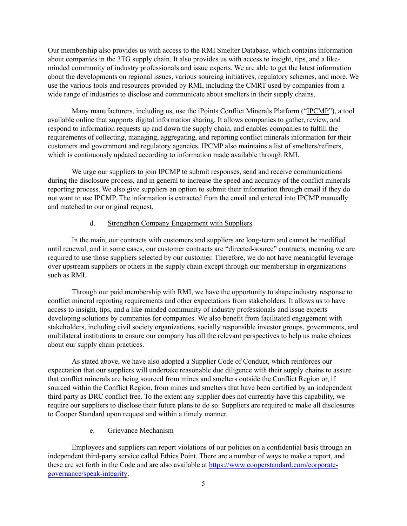Our membership also provides us with access to the RMI Smelter Database, which contains information about companies in the 3TG supply chain. It also provides us with access to insight, tips, and a likeminded community of industry professionals and issue experts. We are able to get the latest information about the developments on regional issues, various sourcing initiatives, regulatory schemes, and more. We use the various tools and resources provided by RMI, including the CMRT used by companies from a wide range of industries to disclose and communicate about smelters in their supply chains.

Many manufacturers, including us, use the iPoints Conflict Minerals Platform ("IPCMP"), a tool available online that supports digital information sharing. It allows companies to gather, review, and respond to information requests up and down the supply chain, and enables companies to fulfill the requirements of collecting, managing, aggregating, and reporting conflict minerals information for their customers and government and regulatory agencies. IPCMP also maintains a list of smelters/refiners, which is continuously updated according to information made available through RMI.

We urge our suppliers to join IPCMP to submit responses, send and receive communications during the disclosure process, and in general to increase the speed and accuracy of the conflict minerals reporting process. We also give suppliers an option to submit their information through email if they do not want to use IPCMP. The information is extracted from the email and entered into IPCMP manually and matched to our original request.

# d. Strengthen Company Engagement with Suppliers

In the main, our contracts with customers and suppliers are long-term and cannot be modified until renewal, and in some cases, our customer contracts are "directed-source" contracts, meaning we are required to use those suppliers selected by our customer. Therefore, we do not have meaningful leverage over upstream suppliers or others in the supply chain except through our membership in organizations such as RMI.

Through our paid membership with RMI, we have the opportunity to shape industry response to conflict mineral reporting requirements and other expectations from stakeholders. It allows us to have access to insight, tips, and a like-minded community of industry professionals and issue experts developing solutions by companies for companies. We also benefit from facilitated engagement with stakeholders, including civil society organizations, socially responsible investor groups, governments, and multilateral institutions to ensure our company has all the relevant perspectives to help us make choices about our supply chain practices.

As stated above, we have also adopted a Supplier Code of Conduct, which reinforces our expectation that our suppliers will undertake reasonable due diligence with their supply chains to assure that conflict minerals are being sourced from mines and smelters outside the Conflict Region or, if sourced within the Conflict Region, from mines and smelters that have been certified by an independent third party as DRC conflict free. To the extent any supplier does not currently have this capability, we require our suppliers to disclose their future plans to do so. Suppliers are required to make all disclosures to Cooper Standard upon request and within a timely manner.

# e. Grievance Mechanism

Employees and suppliers can report violations of our policies on a confidential basis through an independent third-party service called Ethics Point. There are a number of ways to make a report, and these are set forth in the Code and are also available at https://www.cooperstandard.com/corporategovernance/speak-integrity.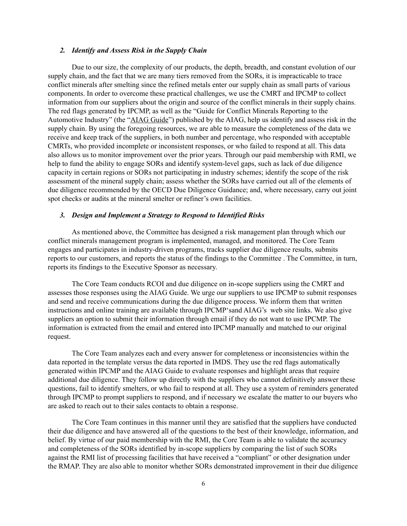#### *2. Identify and Assess Risk in the Supply Chain*

Due to our size, the complexity of our products, the depth, breadth, and constant evolution of our supply chain, and the fact that we are many tiers removed from the SORs, it is impracticable to trace conflict minerals after smelting since the refined metals enter our supply chain as small parts of various components. In order to overcome these practical challenges, we use the CMRT and IPCMP to collect information from our suppliers about the origin and source of the conflict minerals in their supply chains. The red flags generated by IPCMP, as well as the "Guide for Conflict Minerals Reporting to the Automotive Industry" (the "AIAG Guide") published by the AIAG, help us identify and assess risk in the supply chain. By using the foregoing resources, we are able to measure the completeness of the data we receive and keep track of the suppliers, in both number and percentage, who responded with acceptable CMRTs, who provided incomplete or inconsistent responses, or who failed to respond at all. This data also allows us to monitor improvement over the prior years. Through our paid membership with RMI, we help to fund the ability to engage SORs and identify system-level gaps, such as lack of due diligence capacity in certain regions or SORs not participating in industry schemes; identify the scope of the risk assessment of the mineral supply chain; assess whether the SORs have carried out all of the elements of due diligence recommended by the OECD Due Diligence Guidance; and, where necessary, carry out joint spot checks or audits at the mineral smelter or refiner's own facilities.

#### *3. Design and Implement a Strategy to Respond to Identified Risks*

As mentioned above, the Committee has designed a risk management plan through which our conflict minerals management program is implemented, managed, and monitored. The Core Team engages and participates in industry-driven programs, tracks supplier due diligence results, submits reports to our customers, and reports the status of the findings to the Committee . The Committee, in turn, reports its findings to the Executive Sponsor as necessary.

The Core Team conducts RCOI and due diligence on in-scope suppliers using the CMRT and assesses those responses using the AIAG Guide. We urge our suppliers to use IPCMP to submit responses and send and receive communications during the due diligence process. We inform them that written instructions and online training are available through IPCMP'sand AIAG's web site links. We also give suppliers an option to submit their information through email if they do not want to use IPCMP. The information is extracted from the email and entered into IPCMP manually and matched to our original request.

The Core Team analyzes each and every answer for completeness or inconsistencies within the data reported in the template versus the data reported in IMDS. They use the red flags automatically generated within IPCMP and the AIAG Guide to evaluate responses and highlight areas that require additional due diligence. They follow up directly with the suppliers who cannot definitively answer these questions, fail to identify smelters, or who fail to respond at all. They use a system of reminders generated through IPCMP to prompt suppliers to respond, and if necessary we escalate the matter to our buyers who are asked to reach out to their sales contacts to obtain a response.

The Core Team continues in this manner until they are satisfied that the suppliers have conducted their due diligence and have answered all of the questions to the best of their knowledge, information, and belief. By virtue of our paid membership with the RMI, the Core Team is able to validate the accuracy and completeness of the SORs identified by in-scope suppliers by comparing the list of such SORs against the RMI list of processing facilities that have received a "compliant" or other designation under the RMAP. They are also able to monitor whether SORs demonstrated improvement in their due diligence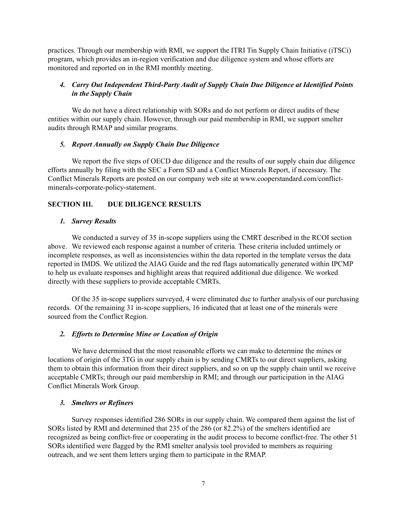practices. Through our membership with RMI, we support the ITRI Tin Supply Chain Initiative (iTSCi) program, which provides an in-region verification and due diligence system and whose efforts are monitored and reported on in the RMI monthly meeting.

# *4. Carry Out Independent Third-Party Audit of Supply Chain Due Diligence at Identified Points in the Supply Chain*

We do not have a direct relationship with SORs and do not perform or direct audits of these entities within our supply chain. However, through our paid membership in RMI, we support smelter audits through RMAP and similar programs.

## *5. Report Annually on Supply Chain Due Diligence*

We report the five steps of OECD due diligence and the results of our supply chain due diligence efforts annually by filing with the SEC a Form SD and a Conflict Minerals Report, if necessary. The Conflict Minerals Reports are posted on our company web site at www.cooperstandard.com/conflictminerals-corporate-policy-statement.

# **SECTION III. DUE DILIGENCE RESULTS**

## *1. Survey Results*

We conducted a survey of 35 in-scope suppliers using the CMRT described in the RCOI section above. We reviewed each response against a number of criteria. These criteria included untimely or incomplete responses, as well as inconsistencies within the data reported in the template versus the data reported in IMDS. We utilized the AIAG Guide and the red flags automatically generated within IPCMP to help us evaluate responses and highlight areas that required additional due diligence. We worked directly with these suppliers to provide acceptable CMRTs.

Of the 35 in-scope suppliers surveyed, 4 were eliminated due to further analysis of our purchasing records. Of the remaining 31 in-scope suppliers, 16 indicated that at least one of the minerals were sourced from the Conflict Region.

### *2. Efforts to Determine Mine or Location of Origin*

We have determined that the most reasonable efforts we can make to determine the mines or locations of origin of the 3TG in our supply chain is by sending CMRTs to our direct suppliers, asking them to obtain this information from their direct suppliers, and so on up the supply chain until we receive acceptable CMRTs; through our paid membership in RMI; and through our participation in the AIAG Conflict Minerals Work Group.

### *3. Smelters or Refiners*

Survey responses identified 286 SORs in our supply chain. We compared them against the list of SORs listed by RMI and determined that 235 of the 286 (or 82.2%) of the smelters identified are recognized as being conflict-free or cooperating in the audit process to become conflict-free. The other 51 SORs identified were flagged by the RMI smelter analysis tool provided to members as requiring outreach, and we sent them letters urging them to participate in the RMAP.